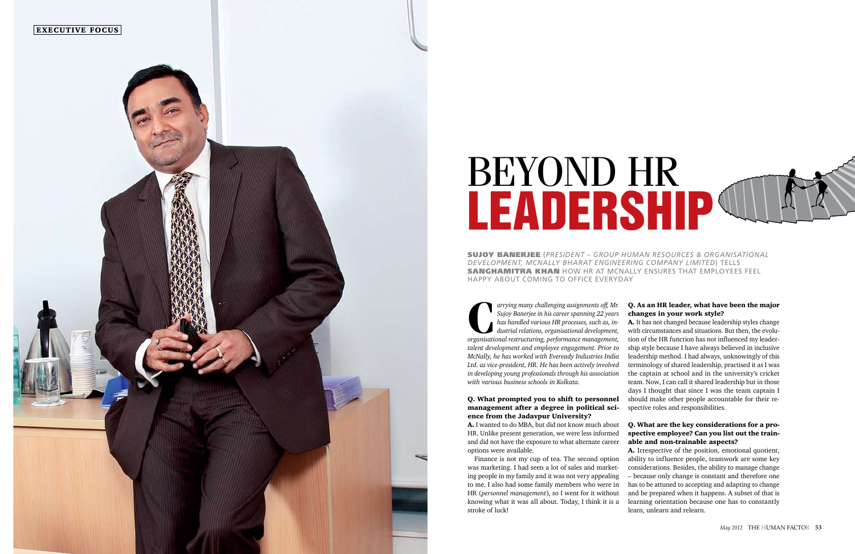

# BEYOND HR **LEADERSHIP®**

Sujoy Banerjee (*President – Group Human Resources & Organisational Development, McNally Bharat Engineering Company Limited*) tells **SANGHAMITRA KHAN** HOW HR AT MCNALLY ENSURES THAT EMPLOYEES FEEL happy about coming to office everyday

**C***arrying many challenging assignments off, Mr.* Sujoy Banerjee in his career spanning 22 years has handled various HR processes, such as, industrial relations, organisational development, organisational restructuring, p *Sujoy Banerjee in his career spanning 22 years has handled various HR processes, such as, industrial relations, organisational development, talent development and employee engagement. Prior to McNally, he has worked with Eveready Industries India Ltd. as vice-president, HR. He has been actively involved in developing young professionals through his association with various business schools in Kolkata.*

# Q. What prompted you to shift to personnel management after a degree in political science from the Jadavpur University?

A. I wanted to do MBA, but did not know much about HR. Unlike present generation, we were less informed and did not have the exposure to what alternate career options were available.

Finance is not my cup of tea. The second option was marketing. I had seen a lot of sales and marketing people in my family and it was not very appealing to me. I also had some family members who were in HR (*personnel management*), so I went for it without knowing what it was all about. Today, I think it is a stroke of luck!

Q. As an HR leader, what have been the major changes in your work style? A. It has not changed because leadership styles change with circumstances and situations. But then, the evolution of the HR function has not influenced my leadership style because I have always believed in inclusive leadership method. I had always, unknowingly of this terminology of shared leadership, practised it as I was the captain at school and in the university's cricket team. Now, I can call it shared leadership but in those days I thought that since I was the team captain I should make other people accountable for their respective roles and responsibilities.

# Q. What are the key considerations for a prospective employee? Can you list out the trainable and non-trainable aspects?

A. Irrespective of the position, emotional quotient, ability to influence people, teamwork are some key considerations. Besides, the ability to manage change – because only change is constant and therefore one has to be attuned to accepting and adapting to change and be prepared when it happens. A subset of that is learning orientation because one has to constantly learn, unlearn and relearn.